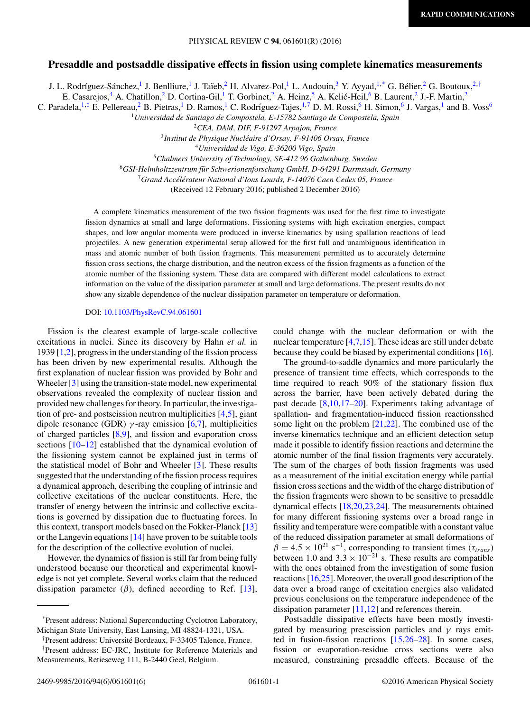# **Presaddle and postsaddle dissipative effects in fission using complete kinematics measurements**

J. L. Rodríguez-Sánchez,<sup>1</sup> J. Benlliure,<sup>1</sup> J. Taïeb,<sup>2</sup> H. Alvarez-Pol,<sup>1</sup> L. Audouin,<sup>3</sup> Y. Ayyad,<sup>1,\*</sup> G. Bélier,<sup>2</sup> G. Boutoux,<sup>2,†</sup>

E. Casarejos,<sup>4</sup> A. Chatillon,<sup>2</sup> D. Cortina-Gil,<sup>1</sup> T. Gorbinet,<sup>2</sup> A. Heinz,<sup>5</sup> A. Kelić-Heil,<sup>6</sup> B. Laurent,<sup>2</sup> J.-F. Martin,<sup>2</sup>

C. Paradela,  $^{1, \ddagger}$  E. Pellereau,  $^2$  B. Pietras,  $^1$  D. Ramos,  $^1$  C. Rodríguez-Tajes,  $^{1,7}$  D. M. Rossi,  $^6$  H. Simon,  $^6$  J. Vargas,  $^1$  and B. Voss<sup>6</sup>

<sup>1</sup>*Universidad de Santiago de Compostela, E-15782 Santiago de Compostela, Spain*

<sup>2</sup>*CEA, DAM, DIF, F-91297 Arpajon, France*

<sup>3</sup>*Institut de Physique Nucleaire d'Orsay, F-91406 Orsay, France ´*

<sup>4</sup>*Universidad de Vigo, E-36200 Vigo, Spain*

<sup>5</sup>*Chalmers University of Technology, SE-412 96 Gothenburg, Sweden*

<sup>6</sup>*GSI-Helmholtzzentrum fur Schwerionenforschung GmbH, D-64291 Darmstadt, Germany ¨*

<sup>7</sup> Grand Accélérateur National d'Ions Lourds, F-14076 Caen Cedex 05, France

(Received 12 February 2016; published 2 December 2016)

A complete kinematics measurement of the two fission fragments was used for the first time to investigate fission dynamics at small and large deformations. Fissioning systems with high excitation energies, compact shapes, and low angular momenta were produced in inverse kinematics by using spallation reactions of lead projectiles. A new generation experimental setup allowed for the first full and unambiguous identification in mass and atomic number of both fission fragments. This measurement permitted us to accurately determine fission cross sections, the charge distribution, and the neutron excess of the fission fragments as a function of the atomic number of the fissioning system. These data are compared with different model calculations to extract information on the value of the dissipation parameter at small and large deformations. The present results do not show any sizable dependence of the nuclear dissipation parameter on temperature or deformation.

#### DOI: [10.1103/PhysRevC.94.061601](https://doi.org/10.1103/PhysRevC.94.061601)

Fission is the clearest example of large-scale collective excitations in nuclei. Since its discovery by Hahn *et al.* in 1939 [\[1,2\]](#page-4-0), progress in the understanding of the fission process has been driven by new experimental results. Although the first explanation of nuclear fission was provided by Bohr and Wheeler [\[3\]](#page-4-0) using the transition-state model, new experimental observations revealed the complexity of nuclear fission and provided new challenges for theory. In particular, the investigation of pre- and postscission neutron multiplicities [\[4,5\]](#page-4-0), giant dipole resonance (GDR)  $\gamma$ -ray emission [\[6,7\]](#page-4-0), multiplicities of charged particles [\[8,9\]](#page-4-0), and fission and evaporation cross sections [\[10–12\]](#page-4-0) established that the dynamical evolution of the fissioning system cannot be explained just in terms of the statistical model of Bohr and Wheeler [\[3\]](#page-4-0). These results suggested that the understanding of the fission process requires a dynamical approach, describing the coupling of intrinsic and collective excitations of the nuclear constituents. Here, the transfer of energy between the intrinsic and collective excitations is governed by dissipation due to fluctuating forces. In this context, transport models based on the Fokker-Planck [\[13\]](#page-4-0) or the Langevin equations [\[14\]](#page-4-0) have proven to be suitable tools for the description of the collective evolution of nuclei.

However, the dynamics of fission is still far from being fully understood because our theoretical and experimental knowledge is not yet complete. Several works claim that the reduced dissipation parameter ( $\beta$ ), defined according to Ref. [\[13\]](#page-4-0),

<sup>†</sup> Present address: Université Bordeaux, F-33405 Talence, France.

could change with the nuclear deformation or with the nuclear temperature [\[4,7,15\]](#page-4-0). These ideas are still under debate because they could be biased by experimental conditions [\[16\]](#page-4-0).

The ground-to-saddle dynamics and more particularly the presence of transient time effects, which corresponds to the time required to reach 90% of the stationary fission flux across the barrier, have been actively debated during the past decade [\[8,10,17–20\]](#page-4-0). Experiments taking advantage of spallation- and fragmentation-induced fission reactionsshed some light on the problem  $[21,22]$ . The combined use of the inverse kinematics technique and an efficient detection setup made it possible to identify fission reactions and determine the atomic number of the final fission fragments very accurately. The sum of the charges of both fission fragments was used as a measurement of the initial excitation energy while partial fission cross sections and the width of the charge distribution of the fission fragments were shown to be sensitive to presaddle dynamical effects [\[18,20,23,24\]](#page-4-0). The measurements obtained for many different fissioning systems over a broad range in fissility and temperature were compatible with a constant value of the reduced dissipation parameter at small deformations of  $\beta = 4.5 \times 10^{21} \text{ s}^{-1}$ , corresponding to transient times ( $\tau_{trans}$ ) between 1.0 and  $3.3 \times 10^{-21}$  s. These results are compatible with the ones obtained from the investigation of some fusion reactions [\[16,25\]](#page-4-0). Moreover, the overall good description of the data over a broad range of excitation energies also validated previous conclusions on the temperature independence of the dissipation parameter [\[11,12\]](#page-4-0) and references therein.

Postsaddle dissipative effects have been mostly investigated by measuring prescission particles and  $\gamma$  rays emitted in fusion-fission reactions [\[15,26–28\]](#page-4-0). In some cases, fission or evaporation-residue cross sections were also measured, constraining presaddle effects. Because of the

<sup>\*</sup>Present address: National Superconducting Cyclotron Laboratory, Michigan State University, East Lansing, MI 48824-1321, USA.

<sup>‡</sup> Present address: EC-JRC, Institute for Reference Materials and Measurements, Retieseweg 111, B-2440 Geel, Belgium.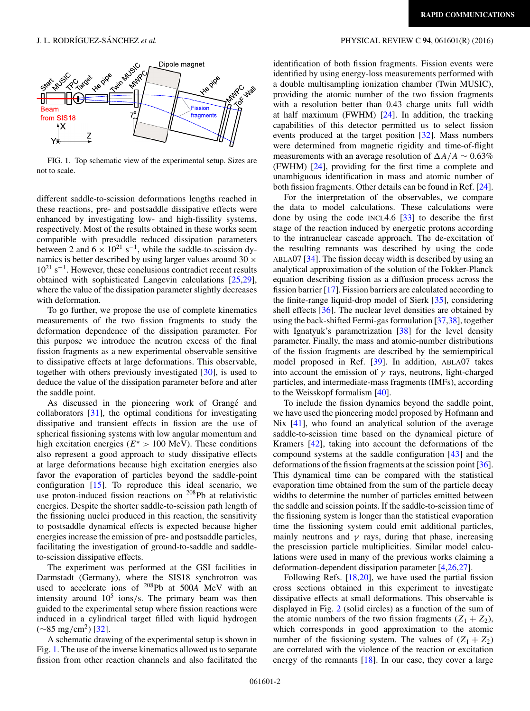

FIG. 1. Top schematic view of the experimental setup. Sizes are not to scale.

different saddle-to-scission deformations lengths reached in these reactions, pre- and postsaddle dissipative effects were enhanced by investigating low- and high-fissility systems, respectively. Most of the results obtained in these works seem compatible with presaddle reduced dissipation parameters between 2 and  $6 \times 10^{21}$  s<sup>-1</sup>, while the saddle-to-scission dynamics is better described by using larger values around 30  $\times$  $10^{21}$  s<sup>-1</sup>. However, these conclusions contradict recent results obtained with sophisticated Langevin calculations [\[25,29\]](#page-4-0), where the value of the dissipation parameter slightly decreases with deformation.

To go further, we propose the use of complete kinematics measurements of the two fission fragments to study the deformation dependence of the dissipation parameter. For this purpose we introduce the neutron excess of the final fission fragments as a new experimental observable sensitive to dissipative effects at large deformations. This observable, together with others previously investigated [\[30\]](#page-4-0), is used to deduce the value of the dissipation parameter before and after the saddle point.

As discussed in the pioneering work of Grangé and collaborators [\[31\]](#page-4-0), the optimal conditions for investigating dissipative and transient effects in fission are the use of spherical fissioning systems with low angular momentum and high excitation energies ( $E^* > 100$  MeV). These conditions also represent a good approach to study dissipative effects at large deformations because high excitation energies also favor the evaporation of particles beyond the saddle-point configuration [\[15\]](#page-4-0). To reproduce this ideal scenario, we use proton-induced fission reactions on <sup>208</sup>Pb at relativistic energies. Despite the shorter saddle-to-scission path length of the fissioning nuclei produced in this reaction, the sensitivity to postsaddle dynamical effects is expected because higher energies increase the emission of pre- and postsaddle particles, facilitating the investigation of ground-to-saddle and saddleto-scission dissipative effects.

The experiment was performed at the GSI facilities in Darmstadt (Germany), where the SIS18 synchrotron was used to accelerate ions of <sup>208</sup>Pb at 500A MeV with an intensity around  $10^5$  ions/s. The primary beam was then guided to the experimental setup where fission reactions were induced in a cylindrical target filled with liquid hydrogen  $(\sim 85 \text{ mg/cm}^2)$  [\[32\]](#page-4-0).

A schematic drawing of the experimental setup is shown in Fig. 1. The use of the inverse kinematics allowed us to separate fission from other reaction channels and also facilitated the

### J. L. RODRÍGUEZ-SÁNCHEZ et al. **PHYSICAL REVIEW C 94**, 061601(R) (2016)

identification of both fission fragments. Fission events were identified by using energy-loss measurements performed with a double multisampling ionization chamber (Twin MUSIC), providing the atomic number of the two fission fragments with a resolution better than 0.43 charge units full width at half maximum (FWHM) [\[24\]](#page-4-0). In addition, the tracking capabilities of this detector permitted us to select fission events produced at the target position [\[32\]](#page-4-0). Mass numbers were determined from magnetic rigidity and time-of-flight measurements with an average resolution of  $\Delta A/A \sim 0.63\%$ (FWHM) [\[24\]](#page-4-0), providing for the first time a complete and unambiguous identification in mass and atomic number of both fission fragments. Other details can be found in Ref. [\[24\]](#page-4-0).

For the interpretation of the observables, we compare the data to model calculations. These calculations were done by using the code INCL4.6  $\lceil 33 \rceil$  to describe the first stage of the reaction induced by energetic protons according to the intranuclear cascade approach. The de-excitation of the resulting remnants was described by using the code ABLA07 [\[34\]](#page-4-0). The fission decay width is described by using an analytical approximation of the solution of the Fokker-Planck equation describing fission as a diffusion process across the fission barrier [\[17\]](#page-4-0). Fission barriers are calculated according to the finite-range liquid-drop model of Sierk [\[35\]](#page-5-0), considering shell effects [\[36\]](#page-5-0). The nuclear level densities are obtained by using the back-shifted Fermi-gas formulation [\[37,38\]](#page-5-0), together with Ignatyuk's parametrization [\[38\]](#page-5-0) for the level density parameter. Finally, the mass and atomic-number distributions of the fission fragments are described by the semiempirical model proposed in Ref. [\[39\]](#page-5-0). In addition, ABLA07 takes into account the emission of  $\gamma$  rays, neutrons, light-charged particles, and intermediate-mass fragments (IMFs), according to the Weisskopf formalism [\[40\]](#page-5-0).

To include the fission dynamics beyond the saddle point, we have used the pioneering model proposed by Hofmann and Nix [\[41\]](#page-5-0), who found an analytical solution of the average saddle-to-scission time based on the dynamical picture of Kramers [\[42\]](#page-5-0), taking into account the deformations of the compound systems at the saddle configuration [\[43\]](#page-5-0) and the deformations of the fission fragments at the scission point [\[36\]](#page-5-0). This dynamical time can be compared with the statistical evaporation time obtained from the sum of the particle decay widths to determine the number of particles emitted between the saddle and scission points. If the saddle-to-scission time of the fissioning system is longer than the statistical evaporation time the fissioning system could emit additional particles, mainly neutrons and  $\gamma$  rays, during that phase, increasing the prescission particle multiplicities. Similar model calculations were used in many of the previous works claiming a deformation-dependent dissipation parameter [\[4,26,27\]](#page-4-0).

Following Refs. [\[18,20\]](#page-4-0), we have used the partial fission cross sections obtained in this experiment to investigate dissipative effects at small deformations. This observable is displayed in Fig. [2](#page-2-0) (solid circles) as a function of the sum of the atomic numbers of the two fission fragments  $(Z_1 + Z_2)$ , which corresponds in good approximation to the atomic number of the fissioning system. The values of  $(Z_1 + Z_2)$ are correlated with the violence of the reaction or excitation energy of the remnants  $[18]$ . In our case, they cover a large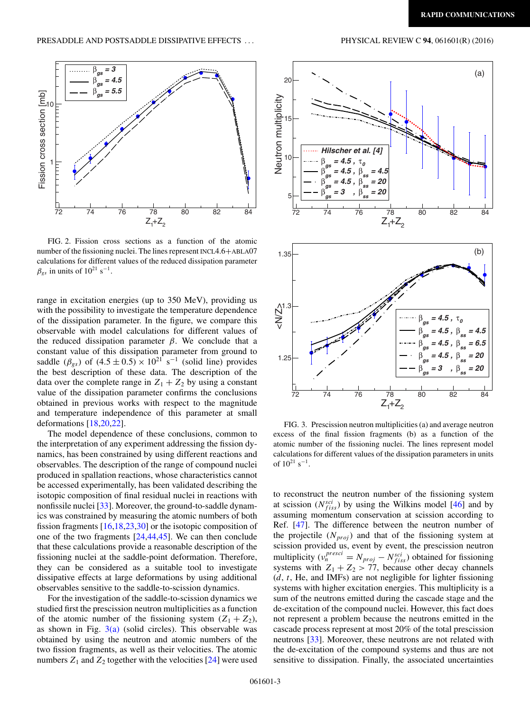<span id="page-2-0"></span>

FIG. 2. Fission cross sections as a function of the atomic number of the fissioning nuclei. The lines represent INCL4.6+ABLA07 calculations for different values of the reduced dissipation parameter  $\beta_{gs}$  in units of 10<sup>21</sup> s<sup>-1</sup>.

range in excitation energies (up to 350 MeV), providing us with the possibility to investigate the temperature dependence of the dissipation parameter. In the figure, we compare this observable with model calculations for different values of the reduced dissipation parameter  $\beta$ . We conclude that a constant value of this dissipation parameter from ground to saddle ( $\beta_{gs}$ ) of (4.5 ± 0.5) × 10<sup>21</sup> s<sup>-1</sup> (solid line) provides the best description of these data. The description of the data over the complete range in  $Z_1 + Z_2$  by using a constant value of the dissipation parameter confirms the conclusions obtained in previous works with respect to the magnitude and temperature independence of this parameter at small deformations [\[18,20,22\]](#page-4-0).

The model dependence of these conclusions, common to the interpretation of any experiment addressing the fission dynamics, has been constrained by using different reactions and observables. The description of the range of compound nuclei produced in spallation reactions, whose characteristics cannot be accessed experimentally, has been validated describing the isotopic composition of final residual nuclei in reactions with nonfissile nuclei [\[33\]](#page-4-0). Moreover, the ground-to-saddle dynamics was constrained by measuring the atomic numbers of both fission fragments [\[16,18,23,30\]](#page-4-0) or the isotopic composition of one of the two fragments  $[24, 44, 45]$  $[24, 44, 45]$ . We can then conclude that these calculations provide a reasonable description of the fissioning nuclei at the saddle-point deformation. Therefore, they can be considered as a suitable tool to investigate dissipative effects at large deformations by using additional observables sensitive to the saddle-to-scission dynamics.

For the investigation of the saddle-to-scission dynamics we studied first the prescission neutron multiplicities as a function of the atomic number of the fissioning system  $(Z_1 + Z_2)$ , as shown in Fig.  $3(a)$  (solid circles). This observable was obtained by using the neutron and atomic numbers of the two fission fragments, as well as their velocities. The atomic numbers  $Z_1$  and  $Z_2$  together with the velocities [\[24\]](#page-4-0) were used



FIG. 3. Prescission neutron multiplicities (a) and average neutron excess of the final fission fragments (b) as a function of the atomic number of the fissioning nuclei. The lines represent model calculations for different values of the dissipation parameters in units of  $10^{21}$  s<sup>-1</sup>.

to reconstruct the neutron number of the fissioning system at scission ( $N_{fiss}^{sci}$ ) by using the Wilkins model [\[46\]](#page-5-0) and by assuming momentum conservation at scission according to Ref. [\[47\]](#page-5-0). The difference between the neutron number of the projectile  $(N_{proj})$  and that of the fissioning system at scission provided us, event by event, the prescission neutron multiplicity ( $v_n^{presci} = N_{proj} - N_{fiss}^{sci}$ ) obtained for fissioning systems with  $Z_1 + Z_2 > 77$ , because other decay channels  $(d, t, He, and IMFs)$  are not negligible for lighter fissioning systems with higher excitation energies. This multiplicity is a sum of the neutrons emitted during the cascade stage and the de-excitation of the compound nuclei. However, this fact does not represent a problem because the neutrons emitted in the cascade process represent at most 20% of the total prescission neutrons [\[33\]](#page-4-0). Moreover, these neutrons are not related with the de-excitation of the compound systems and thus are not sensitive to dissipation. Finally, the associated uncertainties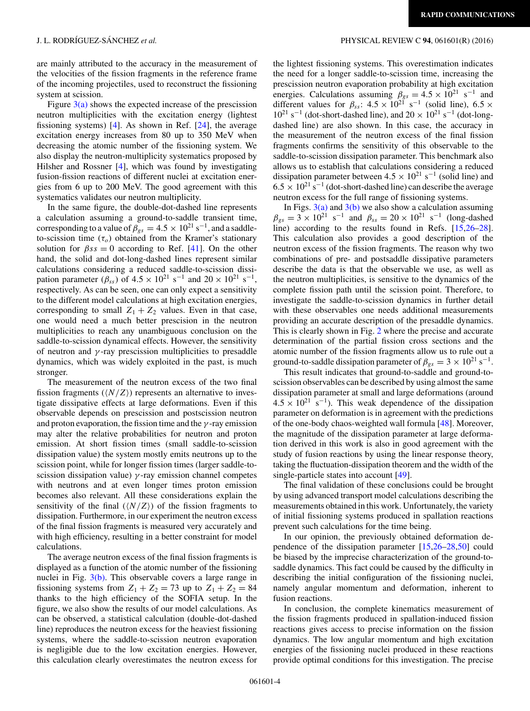are mainly attributed to the accuracy in the measurement of the velocities of the fission fragments in the reference frame of the incoming projectiles, used to reconstruct the fissioning system at scission.

Figure  $3(a)$  shows the expected increase of the prescission neutron multiplicities with the excitation energy (lightest fissioning systems) [\[4\]](#page-4-0). As shown in Ref.  $[24]$ , the average excitation energy increases from 80 up to 350 MeV when decreasing the atomic number of the fissioning system. We also display the neutron-multiplicity systematics proposed by Hilsher and Rossner [\[4\]](#page-4-0), which was found by investigating fusion-fission reactions of different nuclei at excitation energies from 6 up to 200 MeV. The good agreement with this systematics validates our neutron multiplicity.

In the same figure, the double-dot-dashed line represents a calculation assuming a ground-to-saddle transient time, corresponding to a value of  $\beta_{gs} = 4.5 \times 10^{21} \text{ s}^{-1}$ , and a saddleto-scission time  $(\tau_o)$  obtained from the Kramer's stationary solution for  $\beta s s = 0$  according to Ref. [\[41\]](#page-5-0). On the other hand, the solid and dot-long-dashed lines represent similar calculations considering a reduced saddle-to-scission dissipation parameter ( $\beta_{ss}$ ) of  $4.5 \times 10^{21} \text{ s}^{-1}$  and  $20 \times 10^{21} \text{ s}^{-1}$ , respectively. As can be seen, one can only expect a sensitivity to the different model calculations at high excitation energies, corresponding to small  $Z_1 + Z_2$  values. Even in that case, one would need a much better prescision in the neutron multiplicities to reach any unambiguous conclusion on the saddle-to-scission dynamical effects. However, the sensitivity of neutron and  $\gamma$ -ray prescission multiplicities to presaddle dynamics, which was widely exploited in the past, is much stronger.

The measurement of the neutron excess of the two final fission fragments  $(\langle N/Z \rangle)$  represents an alternative to investigate dissipative effects at large deformations. Even if this observable depends on prescission and postscission neutron and proton evaporation, the fission time and the  $\gamma$ -ray emission may alter the relative probabilities for neutron and proton emission. At short fission times (small saddle-to-scission dissipation value) the system mostly emits neutrons up to the scission point, while for longer fission times (larger saddle-toscission dissipation value)  $\gamma$ -ray emission channel competes with neutrons and at even longer times proton emission becomes also relevant. All these considerations explain the sensitivity of the final  $(\langle N/Z \rangle)$  of the fission fragments to dissipation. Furthermore, in our experiment the neutron excess of the final fission fragments is measured very accurately and with high efficiency, resulting in a better constraint for model calculations.

The average neutron excess of the final fission fragments is displayed as a function of the atomic number of the fissioning nuclei in Fig.  $3(b)$ . This observable covers a large range in fissioning systems from  $Z_1 + Z_2 = 73$  up to  $Z_1 + Z_2 = 84$ thanks to the high efficiency of the SOFIA setup. In the figure, we also show the results of our model calculations. As can be observed, a statistical calculation (double-dot-dashed line) reproduces the neutron excess for the heaviest fissioning systems, where the saddle-to-scission neutron evaporation is negligible due to the low excitation energies. However, this calculation clearly overestimates the neutron excess for

#### J. L. RODRÍGUEZ-SÁNCHEZ et al. **PHYSICAL REVIEW C 94**, 061601(R) (2016)

the lightest fissioning systems. This overestimation indicates the need for a longer saddle-to-scission time, increasing the prescission neutron evaporation probability at high excitation energies. Calculations assuming  $\beta_{gs} = 4.5 \times 10^{21} \text{ s}^{-1}$  and different values for  $\beta_{ss}$ :  $4.5 \times 10^{21}$  s<sup>-1</sup> (solid line),  $6.5 \times$  $10^{21}$  s<sup>-1</sup> (dot-short-dashed line), and  $20 \times 10^{21}$  s<sup>-1</sup> (dot-longdashed line) are also shown. In this case, the accuracy in the measurement of the neutron excess of the final fission fragments confirms the sensitivity of this observable to the saddle-to-scission dissipation parameter. This benchmark also allows us to establish that calculations considering a reduced dissipation parameter between  $4.5 \times 10^{21}$  s<sup>-1</sup> (solid line) and  $6.5 \times 10^{21}$  s<sup>-1</sup> (dot-short-dashed line) can describe the average neutron excess for the full range of fissioning systems.

In Figs.  $3(a)$  and  $3(b)$  we also show a calculation assuming  $\beta_{gs} = 3 \times 10^{21} \text{ s}^{-1}$  and  $\beta_{ss} = 20 \times 10^{21} \text{ s}^{-1}$  (long-dashed line) according to the results found in Refs. [\[15,26–28\]](#page-4-0). This calculation also provides a good description of the neutron excess of the fission fragments. The reason why two combinations of pre- and postsaddle dissipative parameters describe the data is that the observable we use, as well as the neutron multiplicities, is sensitive to the dynamics of the complete fission path until the scission point. Therefore, to investigate the saddle-to-scission dynamics in further detail with these observables one needs additional measurements providing an accurate description of the presaddle dynamics. This is clearly shown in Fig. [2](#page-2-0) where the precise and accurate determination of the partial fission cross sections and the atomic number of the fission fragments allow us to rule out a ground-to-saddle dissipation parameter of  $\beta_{gs} = 3 \times 10^{21} \text{ s}^{-1}$ .

This result indicates that ground-to-saddle and ground-toscission observables can be described by using almost the same dissipation parameter at small and large deformations (around  $4.5 \times 10^{21}$  s<sup>-1</sup>). This weak dependence of the dissipation parameter on deformation is in agreement with the predictions of the one-body chaos-weighted wall formula [\[48\]](#page-5-0). Moreover, the magnitude of the dissipation parameter at large deformation derived in this work is also in good agreement with the study of fusion reactions by using the linear response theory, taking the fluctuation-dissipation theorem and the width of the single-particle states into account [\[49\]](#page-5-0).

The final validation of these conclusions could be brought by using advanced transport model calculations describing the measurements obtained in this work. Unfortunately, the variety of initial fissioning systems produced in spallation reactions prevent such calculations for the time being.

In our opinion, the previously obtained deformation dependence of the dissipation parameter [\[15,26–28](#page-4-0)[,50\]](#page-5-0) could be biased by the imprecise characterization of the ground-tosaddle dynamics. This fact could be caused by the difficulty in describing the initial configuration of the fissioning nuclei, namely angular momentum and deformation, inherent to fusion reactions.

In conclusion, the complete kinematics measurement of the fission fragments produced in spallation-induced fission reactions gives access to precise information on the fission dynamics. The low angular momentum and high excitation energies of the fissioning nuclei produced in these reactions provide optimal conditions for this investigation. The precise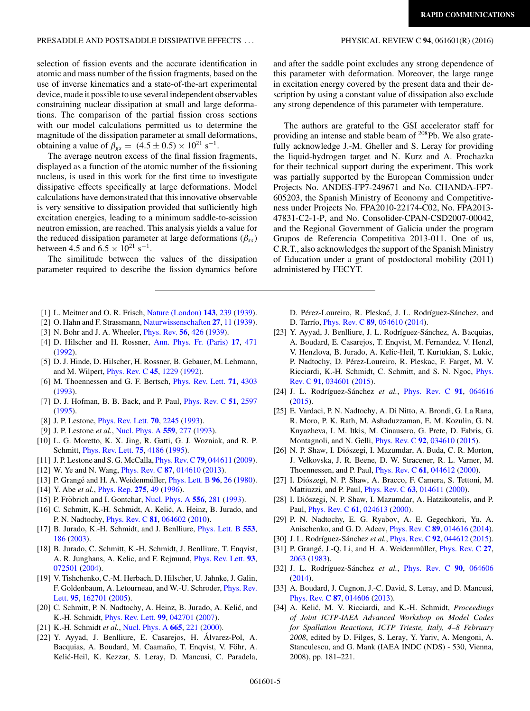#### <span id="page-4-0"></span>PRESADDLE AND POSTSADDLE DISSIPATIVE EFFECTS . . . PHYSICAL REVIEW C **94**, 061601(R) (2016)

selection of fission events and the accurate identification in atomic and mass number of the fission fragments, based on the and after the saddle point excludes any strong dependence of this parameter with deformation. Moreover, the large range in excitation energy covered by the present data and their description by using a constant value of dissipation also exclude any strong dependence of this parameter with temperature.

use of inverse kinematics and a state-of-the-art experimental device, made it possible to use several independent observables constraining nuclear dissipation at small and large deformations. The comparison of the partial fission cross sections with our model calculations permitted us to determine the magnitude of the dissipation parameter at small deformations, obtaining a value of  $\beta_{gs} = (4.5 \pm 0.5) \times 10^{21} \text{ s}^{-1}$ .

The average neutron excess of the final fission fragments, displayed as a function of the atomic number of the fissioning nucleus, is used in this work for the first time to investigate dissipative effects specifically at large deformations. Model calculations have demonstrated that this innovative observable is very sensitive to dissipation provided that sufficiently high excitation energies, leading to a minimum saddle-to-scission neutron emission, are reached. This analysis yields a value for the reduced dissipation parameter at large deformations ( $\beta_{ss}$ ) between 4.5 and  $6.5 \times 10^{21}$  s<sup>-1</sup>.

The similitude between the values of the dissipation parameter required to describe the fission dynamics before

- [1] L. Meitner and O. R. Frisch, [Nature \(London\)](https://doi.org/10.1038/143239a0) **[143](https://doi.org/10.1038/143239a0)**, [239](https://doi.org/10.1038/143239a0) [\(1939\)](https://doi.org/10.1038/143239a0).
- [2] O. Hahn and F. Strassmann, [Naturwissenschaften](https://doi.org/10.1007/BF01488241) **[27](https://doi.org/10.1007/BF01488241)**, [11](https://doi.org/10.1007/BF01488241) [\(1939\)](https://doi.org/10.1007/BF01488241).
- [3] N. Bohr and J. A. Wheeler, [Phys. Rev.](https://doi.org/10.1103/PhysRev.56.426) **[56](https://doi.org/10.1103/PhysRev.56.426)**, [426](https://doi.org/10.1103/PhysRev.56.426) [\(1939\)](https://doi.org/10.1103/PhysRev.56.426).
- [4] D. Hilscher and H. Rossner, [Ann. Phys. Fr. \(Paris\)](https://doi.org/10.1051/anphys:01992001706047100) **[17](https://doi.org/10.1051/anphys:01992001706047100)**, [471](https://doi.org/10.1051/anphys:01992001706047100) [\(1992\)](https://doi.org/10.1051/anphys:01992001706047100).
- [5] D. J. Hinde, D. Hilscher, H. Rossner, B. Gebauer, M. Lehmann, and M. Wilpert, [Phys. Rev. C](https://doi.org/10.1103/PhysRevC.45.1229) **[45](https://doi.org/10.1103/PhysRevC.45.1229)**, [1229](https://doi.org/10.1103/PhysRevC.45.1229) [\(1992\)](https://doi.org/10.1103/PhysRevC.45.1229).
- [6] M. Thoennessen and G. F. Bertsch, [Phys. Rev. Lett.](https://doi.org/10.1103/PhysRevLett.71.4303) **[71](https://doi.org/10.1103/PhysRevLett.71.4303)**, [4303](https://doi.org/10.1103/PhysRevLett.71.4303) [\(1993\)](https://doi.org/10.1103/PhysRevLett.71.4303).
- [7] D. J. Hofman, B. B. Back, and P. Paul, [Phys. Rev. C](https://doi.org/10.1103/PhysRevC.51.2597) **[51](https://doi.org/10.1103/PhysRevC.51.2597)**, [2597](https://doi.org/10.1103/PhysRevC.51.2597) [\(1995\)](https://doi.org/10.1103/PhysRevC.51.2597).
- [8] J. P. Lestone, [Phys. Rev. Lett.](https://doi.org/10.1103/PhysRevLett.70.2245) **[70](https://doi.org/10.1103/PhysRevLett.70.2245)**, [2245](https://doi.org/10.1103/PhysRevLett.70.2245) [\(1993\)](https://doi.org/10.1103/PhysRevLett.70.2245).
- [9] J. P. Lestone *et al.*, [Nucl. Phys. A](https://doi.org/10.1016/0375-9474(93)90192-Z) **[559](https://doi.org/10.1016/0375-9474(93)90192-Z)**, [277](https://doi.org/10.1016/0375-9474(93)90192-Z) [\(1993\)](https://doi.org/10.1016/0375-9474(93)90192-Z).
- [10] L. G. Moretto, K. X. Jing, R. Gatti, G. J. Wozniak, and R. P. Schmitt, [Phys. Rev. Lett.](https://doi.org/10.1103/PhysRevLett.75.4186) **[75](https://doi.org/10.1103/PhysRevLett.75.4186)**, [4186](https://doi.org/10.1103/PhysRevLett.75.4186) [\(1995\)](https://doi.org/10.1103/PhysRevLett.75.4186).
- [11] J. P. Lestone and S. G. McCalla, [Phys. Rev. C](https://doi.org/10.1103/PhysRevC.79.044611) **[79](https://doi.org/10.1103/PhysRevC.79.044611)**, [044611](https://doi.org/10.1103/PhysRevC.79.044611) [\(2009\)](https://doi.org/10.1103/PhysRevC.79.044611).
- [12] W. Ye and N. Wang, [Phys. Rev. C](https://doi.org/10.1103/PhysRevC.87.014610) **[87](https://doi.org/10.1103/PhysRevC.87.014610)**, [014610](https://doi.org/10.1103/PhysRevC.87.014610) [\(2013\)](https://doi.org/10.1103/PhysRevC.87.014610).
- [13] P. Grangé and H. A. Weidenmüller, *[Phys. Lett. B](https://doi.org/10.1016/0370-2693(80)90204-X)* [96](https://doi.org/10.1016/0370-2693(80)90204-X), [26](https://doi.org/10.1016/0370-2693(80)90204-X) [\(1980\)](https://doi.org/10.1016/0370-2693(80)90204-X).
- [14] Y. Abe *et al.*, [Phys. Rep.](https://doi.org/10.1016/0370-1573(96)00003-8) **[275](https://doi.org/10.1016/0370-1573(96)00003-8)**, [49](https://doi.org/10.1016/0370-1573(96)00003-8) [\(1996\)](https://doi.org/10.1016/0370-1573(96)00003-8).
- [15] P. Fröbrich and I. Gontchar, [Nucl. Phys. A](https://doi.org/10.1016/0375-9474(93)90352-X) **[556](https://doi.org/10.1016/0375-9474(93)90352-X)**, [281](https://doi.org/10.1016/0375-9474(93)90352-X) [\(1993\)](https://doi.org/10.1016/0375-9474(93)90352-X).
- [16] C. Schmitt, K.-H. Schmidt, A. Kelić, A. Heinz, B. Jurado, and P. N. Nadtochy, [Phys. Rev. C](https://doi.org/10.1103/PhysRevC.81.064602) **[81](https://doi.org/10.1103/PhysRevC.81.064602)**, [064602](https://doi.org/10.1103/PhysRevC.81.064602) [\(2010\)](https://doi.org/10.1103/PhysRevC.81.064602).
- [17] B. Jurado, K.-H. Schmidt, and J. Benlliure, [Phys. Lett. B](https://doi.org/10.1016/S0370-2693(02)03234-3) **[553](https://doi.org/10.1016/S0370-2693(02)03234-3)**, [186](https://doi.org/10.1016/S0370-2693(02)03234-3) [\(2003\)](https://doi.org/10.1016/S0370-2693(02)03234-3).
- [18] B. Jurado, C. Schmitt, K.-H. Schmidt, J. Benlliure, T. Enqvist, A. R. Junghans, A. Kelic, and F. Rejmund, [Phys. Rev. Lett.](https://doi.org/10.1103/PhysRevLett.93.072501) **[93](https://doi.org/10.1103/PhysRevLett.93.072501)**, [072501](https://doi.org/10.1103/PhysRevLett.93.072501) [\(2004\)](https://doi.org/10.1103/PhysRevLett.93.072501).
- [19] V. Tishchenko, C.-M. Herbach, D. Hilscher, U. Jahnke, J. Galin, [F. Goldenbaum, A. Letourneau, and W.-U. Schroder,](https://doi.org/10.1103/PhysRevLett.95.162701) Phys. Rev. Lett. **[95](https://doi.org/10.1103/PhysRevLett.95.162701)**, [162701](https://doi.org/10.1103/PhysRevLett.95.162701) [\(2005\)](https://doi.org/10.1103/PhysRevLett.95.162701).
- [20] C. Schmitt, P. N. Nadtochy, A. Heinz, B. Jurado, A. Kelić, and K.-H. Schmidt, [Phys. Rev. Lett.](https://doi.org/10.1103/PhysRevLett.99.042701) **[99](https://doi.org/10.1103/PhysRevLett.99.042701)**, [042701](https://doi.org/10.1103/PhysRevLett.99.042701) [\(2007\)](https://doi.org/10.1103/PhysRevLett.99.042701).
- [21] K.-H. Schmidt *et al.*, [Nucl. Phys. A](https://doi.org/10.1016/S0375-9474(99)00384-X) **[665](https://doi.org/10.1016/S0375-9474(99)00384-X)**, [221](https://doi.org/10.1016/S0375-9474(99)00384-X) [\(2000\)](https://doi.org/10.1016/S0375-9474(99)00384-X).
- [22] Y. Ayyad, J. Benlliure, E. Casarejos, H. Alvarez-Pol, A. ´ Bacquias, A. Boudard, M. Caamaño, T. Enqvist, V. Föhr, A. Kelic-Heil, K. Kezzar, S. Leray, D. Mancusi, C. Paradela, ´

The authors are grateful to the GSI accelerator staff for providing an intense and stable beam of  $208Pb$ . We also gratefully acknowledge J.-M. Gheller and S. Leray for providing the liquid-hydrogen target and N. Kurz and A. Prochazka for their technical support during the experiment. This work was partially supported by the European Commission under Projects No. ANDES-FP7-249671 and No. CHANDA-FP7- 605203, the Spanish Ministry of Economy and Competitiveness under Projects No. FPA2010-22174-C02, No. FPA2013- 47831-C2-1-P, and No. Consolider-CPAN-CSD2007-00042, and the Regional Government of Galicia under the program Grupos de Referencia Competitiva 2013-011. One of us, C.R.T., also acknowledges the support of the Spanish Ministry of Education under a grant of postdoctoral mobility (2011) administered by FECYT.

D. Pérez-Loureiro, R. Pleskać, J. L. Rodríguez-Sánchez, and D. Tarrío, *[Phys. Rev. C](https://doi.org/10.1103/PhysRevC.89.054610)* **[89](https://doi.org/10.1103/PhysRevC.89.054610)**, [054610](https://doi.org/10.1103/PhysRevC.89.054610) [\(2014\)](https://doi.org/10.1103/PhysRevC.89.054610).

- [23] Y. Ayyad, J. Benlliure, J. L. Rodríguez-Sánchez, A. Bacquias, A. Boudard, E. Casarejos, T. Enqvist, M. Fernandez, V. Henzl, V. Henzlova, B. Jurado, A. Kelic-Heil, T. Kurtukian, S. Lukic, P. Nadtochy, D. Pérez-Loureiro, R. Pleskac, F. Farget, M. V. [Ricciardi, K.-H. Schmidt, C. Schmitt, and S. N. Ngoc,](https://doi.org/10.1103/PhysRevC.91.034601) Phys. Rev. C **[91](https://doi.org/10.1103/PhysRevC.91.034601)**, [034601](https://doi.org/10.1103/PhysRevC.91.034601) [\(2015\)](https://doi.org/10.1103/PhysRevC.91.034601).
- [24] J. L. Rodríguez-Sánchez et al., [Phys. Rev. C](https://doi.org/10.1103/PhysRevC.91.064616) [91](https://doi.org/10.1103/PhysRevC.91.064616), [064616](https://doi.org/10.1103/PhysRevC.91.064616) [\(2015\)](https://doi.org/10.1103/PhysRevC.91.064616).
- [25] E. Vardaci, P. N. Nadtochy, A. Di Nitto, A. Brondi, G. La Rana, R. Moro, P. K. Rath, M. Ashaduzzaman, E. M. Kozulin, G. N. Knyazheva, I. M. Itkis, M. Cinausero, G. Prete, D. Fabris, G. Montagnoli, and N. Gelli, [Phys. Rev. C](https://doi.org/10.1103/PhysRevC.92.034610) **[92](https://doi.org/10.1103/PhysRevC.92.034610)**, [034610](https://doi.org/10.1103/PhysRevC.92.034610) [\(2015\)](https://doi.org/10.1103/PhysRevC.92.034610).
- [26] N. P. Shaw, I. Diószegi, I. Mazumdar, A. Buda, C. R. Morton, J. Velkovska, J. R. Beene, D. W. Stracener, R. L. Varner, M. Thoennessen, and P. Paul, [Phys. Rev. C](https://doi.org/10.1103/PhysRevC.61.044612) **[61](https://doi.org/10.1103/PhysRevC.61.044612)**, [044612](https://doi.org/10.1103/PhysRevC.61.044612) [\(2000\)](https://doi.org/10.1103/PhysRevC.61.044612).
- [27] I. Diószegi, N. P. Shaw, A. Bracco, F. Camera, S. Tettoni, M. Mattiuzzi, and P. Paul, [Phys. Rev. C](https://doi.org/10.1103/PhysRevC.63.014611) **[63](https://doi.org/10.1103/PhysRevC.63.014611)**, [014611](https://doi.org/10.1103/PhysRevC.63.014611) [\(2000\)](https://doi.org/10.1103/PhysRevC.63.014611).
- [28] I. Diószegi, N. P. Shaw, I. Mazumdar, A. Hatzikoutelis, and P. Paul, [Phys. Rev. C](https://doi.org/10.1103/PhysRevC.61.024613) **[61](https://doi.org/10.1103/PhysRevC.61.024613)**, [024613](https://doi.org/10.1103/PhysRevC.61.024613) [\(2000\)](https://doi.org/10.1103/PhysRevC.61.024613).
- [29] P. N. Nadtochy, E. G. Ryabov, A. E. Gegechkori, Yu. A. Anischenko, and G. D. Adeev, [Phys. Rev. C](https://doi.org/10.1103/PhysRevC.89.014616) **[89](https://doi.org/10.1103/PhysRevC.89.014616)**, [014616](https://doi.org/10.1103/PhysRevC.89.014616) [\(2014\)](https://doi.org/10.1103/PhysRevC.89.014616).
- [30] J. L. Rodríguez-Sánchez et al., *[Phys. Rev. C](https://doi.org/10.1103/PhysRevC.92.044612)* [92](https://doi.org/10.1103/PhysRevC.92.044612), [044612](https://doi.org/10.1103/PhysRevC.92.044612) [\(2015\)](https://doi.org/10.1103/PhysRevC.92.044612).
- [31] P. Grangé, J.-Q. Li, and H. A. Weidenmüller, *[Phys. Rev. C](https://doi.org/10.1103/PhysRevC.27.2063)* [27](https://doi.org/10.1103/PhysRevC.27.2063), [2063](https://doi.org/10.1103/PhysRevC.27.2063) [\(1983\)](https://doi.org/10.1103/PhysRevC.27.2063).
- [32] J. L. Rodríguez-Sánchez et al., [Phys. Rev. C](https://doi.org/10.1103/PhysRevC.90.064606) [90](https://doi.org/10.1103/PhysRevC.90.064606), [064606](https://doi.org/10.1103/PhysRevC.90.064606) [\(2014\)](https://doi.org/10.1103/PhysRevC.90.064606).
- [33] A. Boudard, J. Cugnon, J.-C. David, S. Leray, and D. Mancusi, [Phys. Rev. C](https://doi.org/10.1103/PhysRevC.87.014606) **[87](https://doi.org/10.1103/PhysRevC.87.014606)**, [014606](https://doi.org/10.1103/PhysRevC.87.014606) [\(2013\)](https://doi.org/10.1103/PhysRevC.87.014606).
- [34] A. Kelić, M. V. Ricciardi, and K.-H. Schmidt, Proceedings *of Joint ICTP-IAEA Advanced Workshop on Model Codes for Spallation Reactions, ICTP Trieste, Italy, 4–8 February 2008*, edited by D. Filges, S. Leray, Y. Yariv, A. Mengoni, A. Stanculescu, and G. Mank (IAEA INDC (NDS) - 530, Vienna, 2008), pp. 181–221.